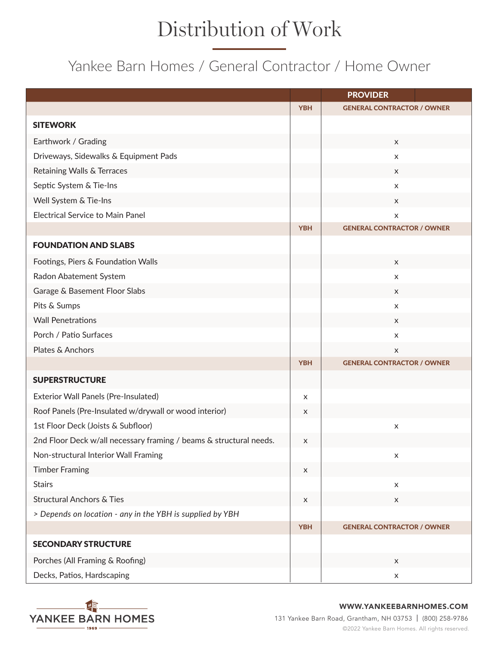## Distribution of Work

## Yankee Barn Homes / General Contractor / Home Owner

|                                                                    |                | <b>PROVIDER</b>                   |
|--------------------------------------------------------------------|----------------|-----------------------------------|
|                                                                    | <b>YBH</b>     | <b>GENERAL CONTRACTOR / OWNER</b> |
| <b>SITEWORK</b>                                                    |                |                                   |
| Earthwork / Grading                                                |                | X                                 |
| Driveways, Sidewalks & Equipment Pads                              |                | X                                 |
| Retaining Walls & Terraces                                         |                | X                                 |
| Septic System & Tie-Ins                                            |                | X                                 |
| Well System & Tie-Ins                                              |                | X                                 |
| <b>Electrical Service to Main Panel</b>                            |                | $\pmb{\times}$                    |
|                                                                    | <b>YBH</b>     | <b>GENERAL CONTRACTOR / OWNER</b> |
| <b>FOUNDATION AND SLABS</b>                                        |                |                                   |
| Footings, Piers & Foundation Walls                                 |                | X                                 |
| Radon Abatement System                                             |                | X                                 |
| Garage & Basement Floor Slabs                                      |                | X                                 |
| Pits & Sumps                                                       |                | X                                 |
| <b>Wall Penetrations</b>                                           |                | X                                 |
| Porch / Patio Surfaces                                             |                | X                                 |
| Plates & Anchors                                                   |                | X                                 |
|                                                                    | <b>YBH</b>     | <b>GENERAL CONTRACTOR / OWNER</b> |
| <b>SUPERSTRUCTURE</b>                                              |                |                                   |
| Exterior Wall Panels (Pre-Insulated)                               | X              |                                   |
| Roof Panels (Pre-Insulated w/drywall or wood interior)             | X              |                                   |
| 1st Floor Deck (Joists & Subfloor)                                 |                | X                                 |
| 2nd Floor Deck w/all necessary framing / beams & structural needs. | $\pmb{\times}$ |                                   |
| Non-structural Interior Wall Framing                               |                | X                                 |
| <b>Timber Framing</b>                                              | $\mathsf X$    |                                   |
| <b>Stairs</b>                                                      |                | $\boldsymbol{\mathsf{X}}$         |
| <b>Structural Anchors &amp; Ties</b>                               | $\mathsf X$    | X                                 |
| > Depends on location - any in the YBH is supplied by YBH          |                |                                   |
|                                                                    | <b>YBH</b>     | <b>GENERAL CONTRACTOR / OWNER</b> |
| <b>SECONDARY STRUCTURE</b>                                         |                |                                   |
| Porches (All Framing & Roofing)                                    |                | X                                 |
| Decks, Patios, Hardscaping                                         |                | $\boldsymbol{\mathsf{X}}$         |



## WWW.YANKEEBARNHOMES.COM

131 Yankee Barn Road, Grantham, NH 03753 | (800) 258-9786 ©2022 Yankee Barn Homes. All rights reserved.